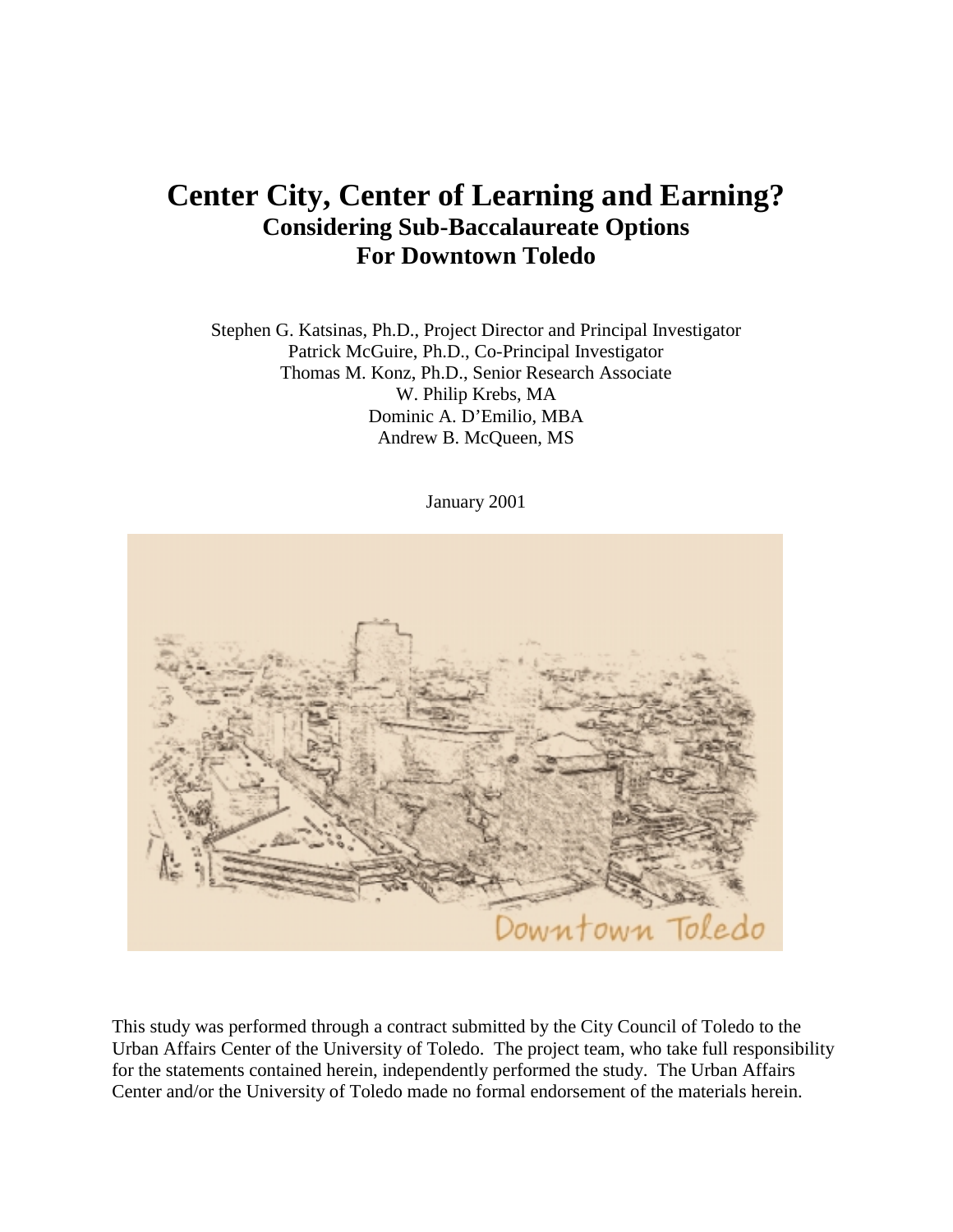# **Center City, Center of Learning and Earning? Considering Sub-Baccalaureate Options For Downtown Toledo**

Stephen G. Katsinas, Ph.D., Project Director and Principal Investigator Patrick McGuire, Ph.D., Co-Principal Investigator Thomas M. Konz, Ph.D., Senior Research Associate W. Philip Krebs, MA Dominic A. D'Emilio, MBA Andrew B. McQueen, MS

January 2001



This study was performed through a contract submitted by the City Council of Toledo to the Urban Affairs Center of the University of Toledo. The project team, who take full responsibility for the statements contained herein, independently performed the study. The Urban Affairs Center and/or the University of Toledo made no formal endorsement of the materials herein.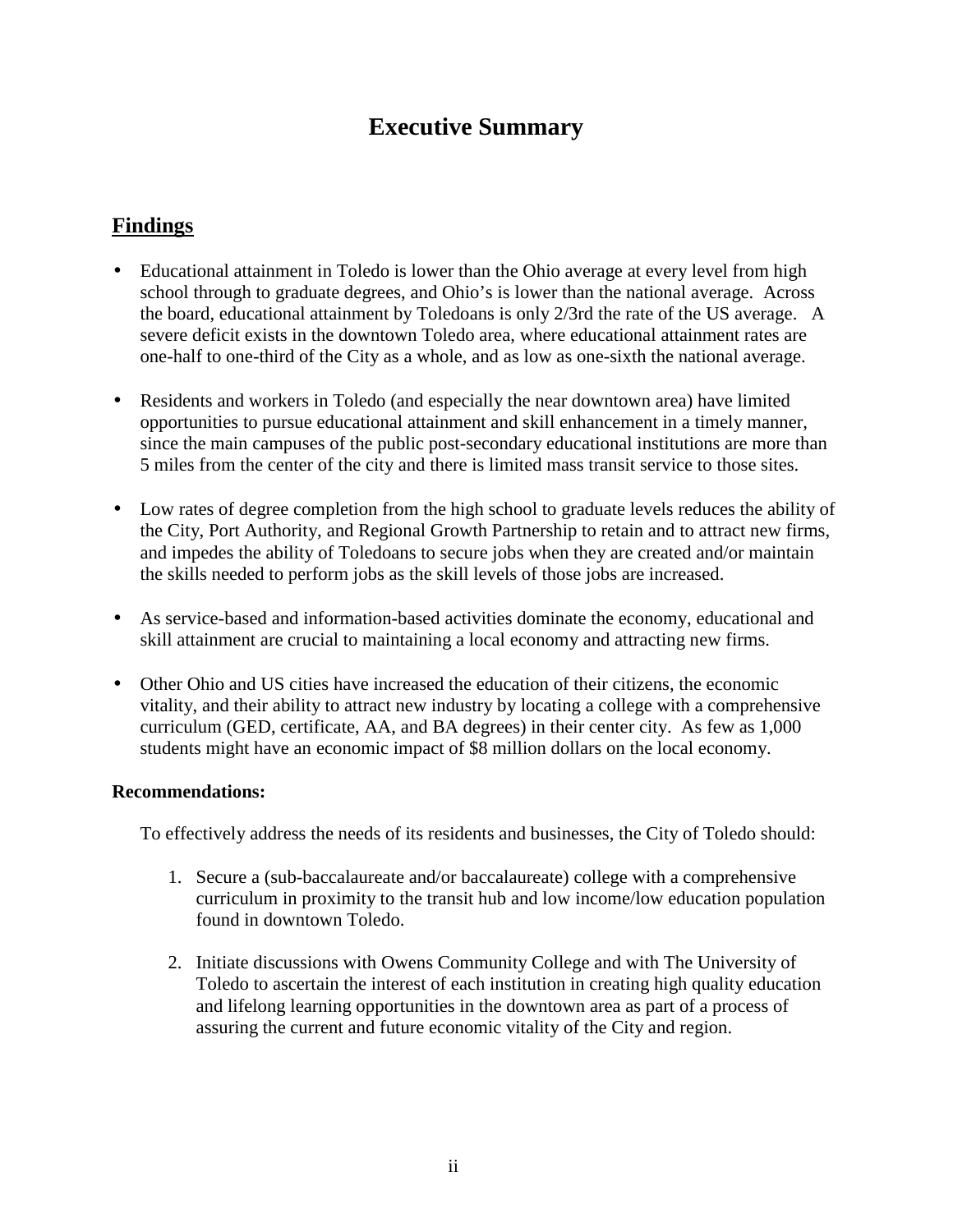# **Executive Summary**

## **Findings**

- Educational attainment in Toledo is lower than the Ohio average at every level from high school through to graduate degrees, and Ohio's is lower than the national average. Across the board, educational attainment by Toledoans is only 2/3rd the rate of the US average. A severe deficit exists in the downtown Toledo area, where educational attainment rates are one-half to one-third of the City as a whole, and as low as one-sixth the national average.
- Residents and workers in Toledo (and especially the near downtown area) have limited opportunities to pursue educational attainment and skill enhancement in a timely manner, since the main campuses of the public post-secondary educational institutions are more than 5 miles from the center of the city and there is limited mass transit service to those sites.
- Low rates of degree completion from the high school to graduate levels reduces the ability of the City, Port Authority, and Regional Growth Partnership to retain and to attract new firms, and impedes the ability of Toledoans to secure jobs when they are created and/or maintain the skills needed to perform jobs as the skill levels of those jobs are increased.
- As service-based and information-based activities dominate the economy, educational and skill attainment are crucial to maintaining a local economy and attracting new firms.
- Other Ohio and US cities have increased the education of their citizens, the economic vitality, and their ability to attract new industry by locating a college with a comprehensive curriculum (GED, certificate, AA, and BA degrees) in their center city. As few as 1,000 students might have an economic impact of \$8 million dollars on the local economy.

### **Recommendations:**

To effectively address the needs of its residents and businesses, the City of Toledo should:

- 1. Secure a (sub-baccalaureate and/or baccalaureate) college with a comprehensive curriculum in proximity to the transit hub and low income/low education population found in downtown Toledo.
- 2. Initiate discussions with Owens Community College and with The University of Toledo to ascertain the interest of each institution in creating high quality education and lifelong learning opportunities in the downtown area as part of a process of assuring the current and future economic vitality of the City and region.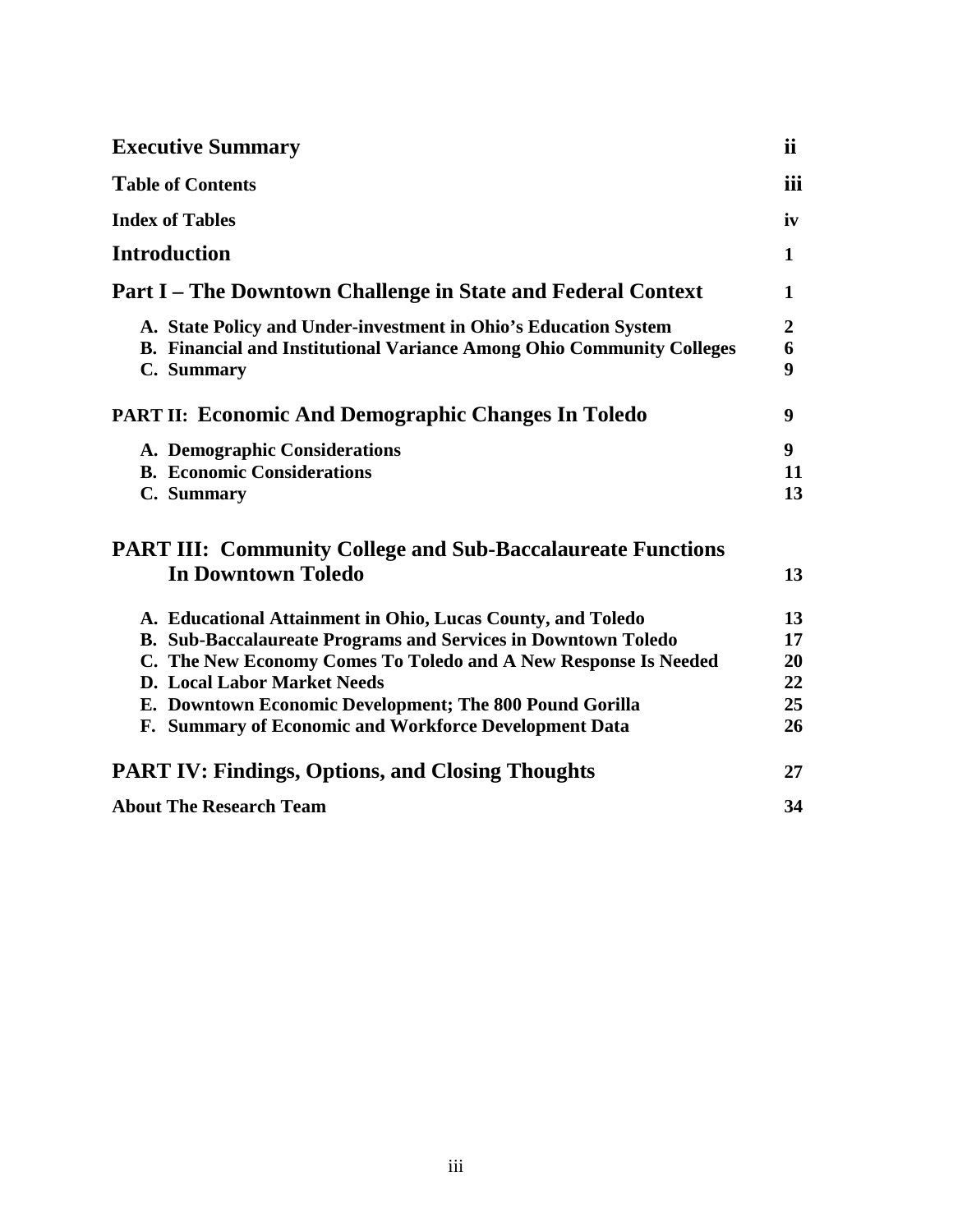| <b>Executive Summary</b><br><b>Table of Contents</b>                                                                                                                          | <i>ii</i><br>iii           |
|-------------------------------------------------------------------------------------------------------------------------------------------------------------------------------|----------------------------|
|                                                                                                                                                                               |                            |
| <b>Introduction</b>                                                                                                                                                           | $\mathbf{1}$               |
| <b>Part I</b> – The Downtown Challenge in State and Federal Context                                                                                                           | 1                          |
| A. State Policy and Under-investment in Ohio's Education System<br><b>B. Financial and Institutional Variance Among Ohio Community Colleges</b><br>C. Summary                 | $\overline{2}$<br>6<br>9   |
| <b>PART II: Economic And Demographic Changes In Toledo</b>                                                                                                                    | 9                          |
| A. Demographic Considerations<br><b>B.</b> Economic Considerations<br>C. Summary                                                                                              | 9 <sup>°</sup><br>11<br>13 |
| <b>PART III: Community College and Sub-Baccalaureate Functions</b><br><b>In Downtown Toledo</b>                                                                               | 13                         |
| A. Educational Attainment in Ohio, Lucas County, and Toledo                                                                                                                   | 13                         |
| <b>B. Sub-Baccalaureate Programs and Services in Downtown Toledo</b><br>C. The New Economy Comes To Toledo and A New Response Is Needed<br><b>D.</b> Local Labor Market Needs | 17<br>20<br>22             |
| E. Downtown Economic Development; The 800 Pound Gorilla<br>F. Summary of Economic and Workforce Development Data                                                              | 25<br>26                   |
| <b>PART IV: Findings, Options, and Closing Thoughts</b>                                                                                                                       | 27                         |
| <b>About The Research Team</b>                                                                                                                                                | 34                         |